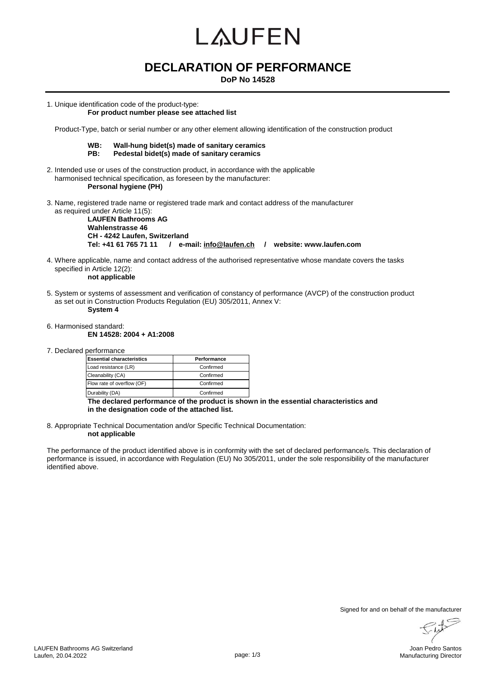# LAUFEN

### **DECLARATION OF PERFORMANCE**

**DoP No 14528**

1. Unique identification code of the product-type:

#### **For product number please see attached list**

Product-Type, batch or serial number or any other element allowing identification of the construction product

- **WB: Wall-hung bidet(s) made of sanitary ceramics** Pedestal bidet(s) made of sanitary ceramics
- 2. Intended use or uses of the construction product, in accordance with the applicable harmonised technical specification, as foreseen by the manufacturer: **Personal hygiene (PH)**
- 3. Name, registered trade name or registered trade mark and contact address of the manufacturer as required under Article 11(5):

**LAUFEN Bathrooms AG Wahlenstrasse 46 CH - 4242 Laufen, Switzerland Tel: +41 61 765 71 11 / e-mail: info@laufen.ch / website: www.laufen.com**

- 4. Where applicable, name and contact address of the authorised representative whose mandate covers the tasks specified in Article 12(2):
	- **not applicable**
- 5. System or systems of assessment and verification of constancy of performance (AVCP) of the construction product as set out in Construction Products Regulation (EU) 305/2011, Annex V: **System 4**
- 6. Harmonised standard: **EN 14528: 2004 + A1:2008**
- 7. Declared performance

| <b>Essential characteristics</b> | Performance |  |
|----------------------------------|-------------|--|
| Load resistance (LR)             | Confirmed   |  |
| Cleanability (CA)                | Confirmed   |  |
| Flow rate of overflow (OF)       | Confirmed   |  |
| Durability (DA)                  | Confirmed   |  |

**The declared performance of the product is shown in the essential characteristics and in the designation code of the attached list.**

8. Appropriate Technical Documentation and/or Specific Technical Documentation: **not applicable**

The performance of the product identified above is in conformity with the set of declared performance/s. This declaration of performance is issued, in accordance with Regulation (EU) No 305/2011, under the sole responsibility of the manufacturer identified above.

Signed for and on behalf of the manufacturer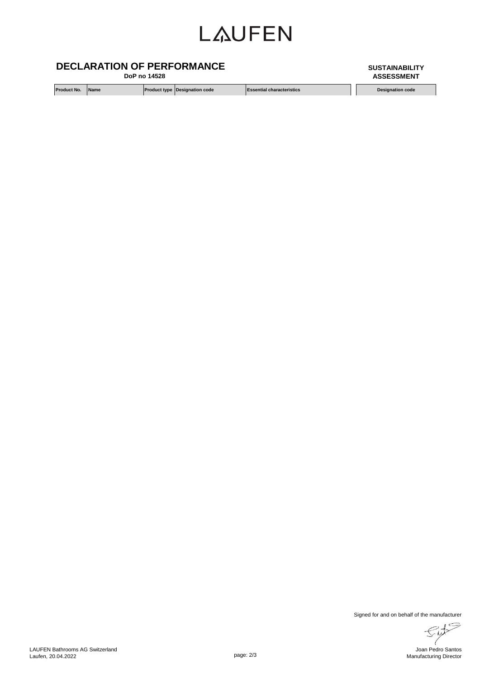## **LAUFEN**

#### **DECLARATION OF PERFORMANCE**

 **DoP no 14528**

**Product No.** Name **Product type Product type Designation code Essential characteristics Designation code** 

**ASSESSMENT**

**SUSTAINABILITY** 

Signed for and on behalf of the manufacturer

 $\mathbb{I}$ Joan Pedro Santos Manufacturing Director